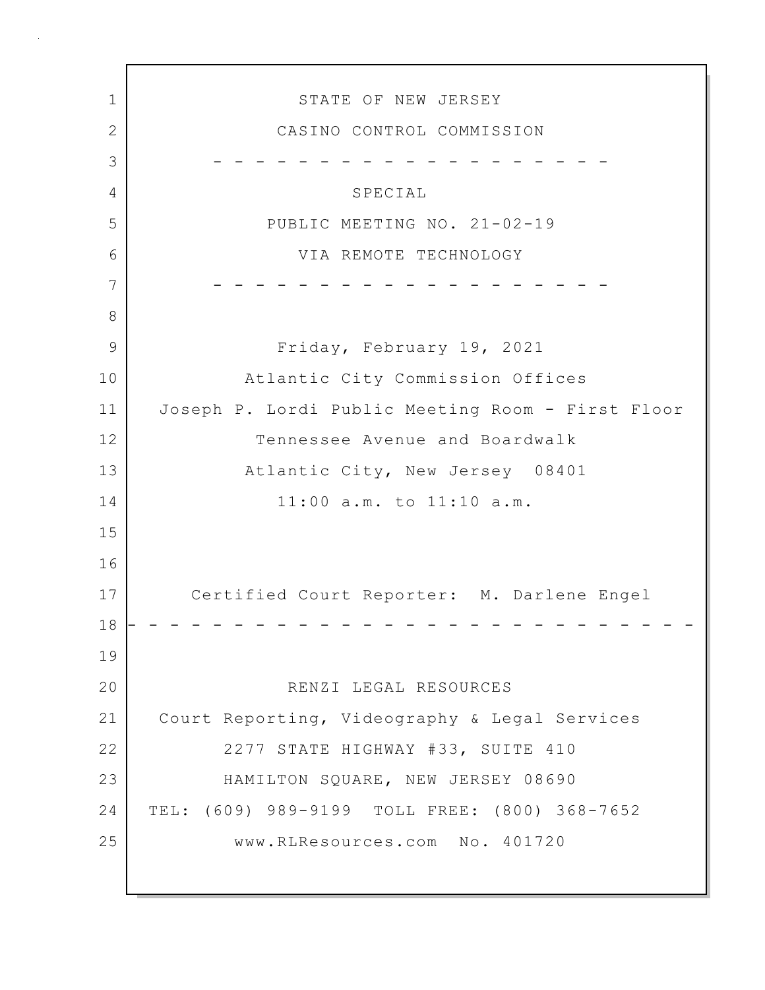1 STATE OF NEW JERSEY 2 CASINO CONTROL COMMISSION 3 - - - - - - - - - - - - - - - - - - - 4 SPECIAL 5 PUBLIC MEETING NO. 21-02-19 6 VIA REMOTE TECHNOLOGY 7 - - - - - - - - - - - - - - - - - - - 8 9 Friday, February 19, 2021 10 Atlantic City Commission Offices 11 Joseph P. Lordi Public Meeting Room - First Floor 12 Tennessee Avenue and Boardwalk 13 Atlantic City, New Jersey 08401 14 11:00 a.m. to 11:10 a.m. 15 16 17 Certified Court Reporter: M. Darlene Engel 18 - - - - - - - - - - - - - - - - - - - - - - - - - - - 19 20 RENZI LEGAL RESOURCES 21 Court Reporting, Videography & Legal Services 22 2277 STATE HIGHWAY #33, SUITE 410 23 HAMILTON SQUARE, NEW JERSEY 08690 24 TEL: (609) 989-9199 TOLL FREE: (800) 368-7652 25 www.RLResources.com No. 401720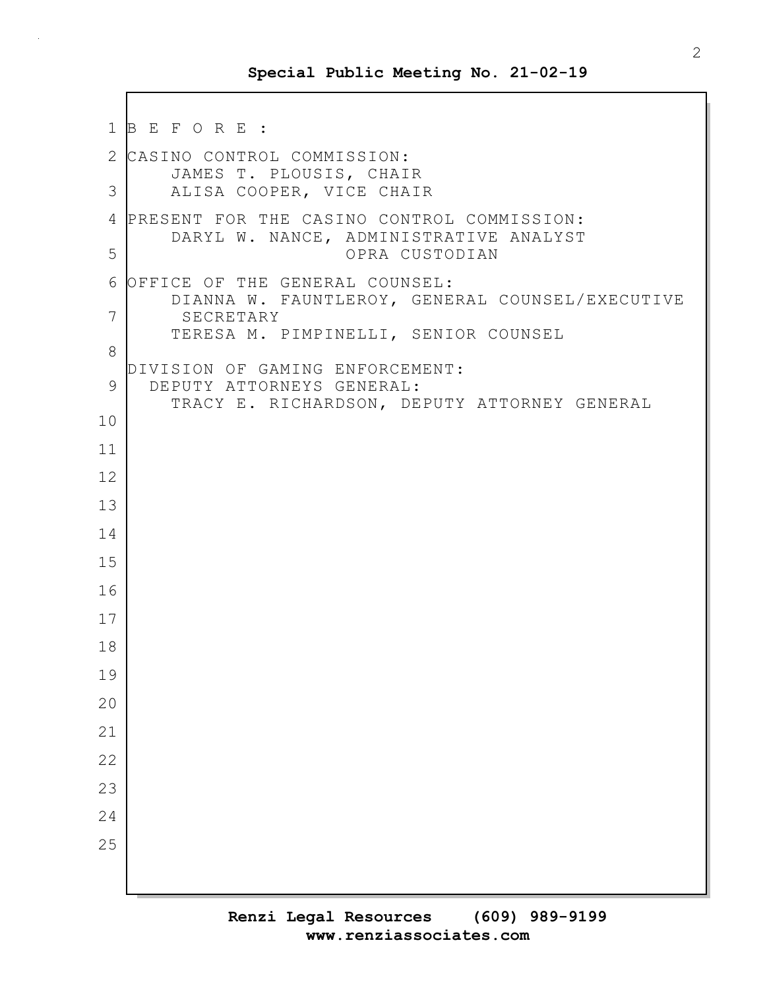```
1 B E F O R E :
2 CASINO CONTROL COMMISSION:
       JAMES T. PLOUSIS, CHAIR
3 ALISA COOPER, VICE CHAIR
4 PRESENT FOR THE CASINO CONTROL COMMISSION:
       DARYL W. NANCE, ADMINISTRATIVE ANALYST
5 OPRA CUSTODIAN
6 OFFICE OF THE GENERAL COUNSEL:
       DIANNA W. FAUNTLEROY, GENERAL COUNSEL/EXECUTIVE
7 SECRETARY
       TERESA M. PIMPINELLI, SENIOR COUNSEL
8
  DIVISION OF GAMING ENFORCEMENT:
9 DEPUTY ATTORNEYS GENERAL:
       TRACY E. RICHARDSON, DEPUTY ATTORNEY GENERAL
10
11
12
13
14
15
16
17
18
19
20
21
22
23
24
25
```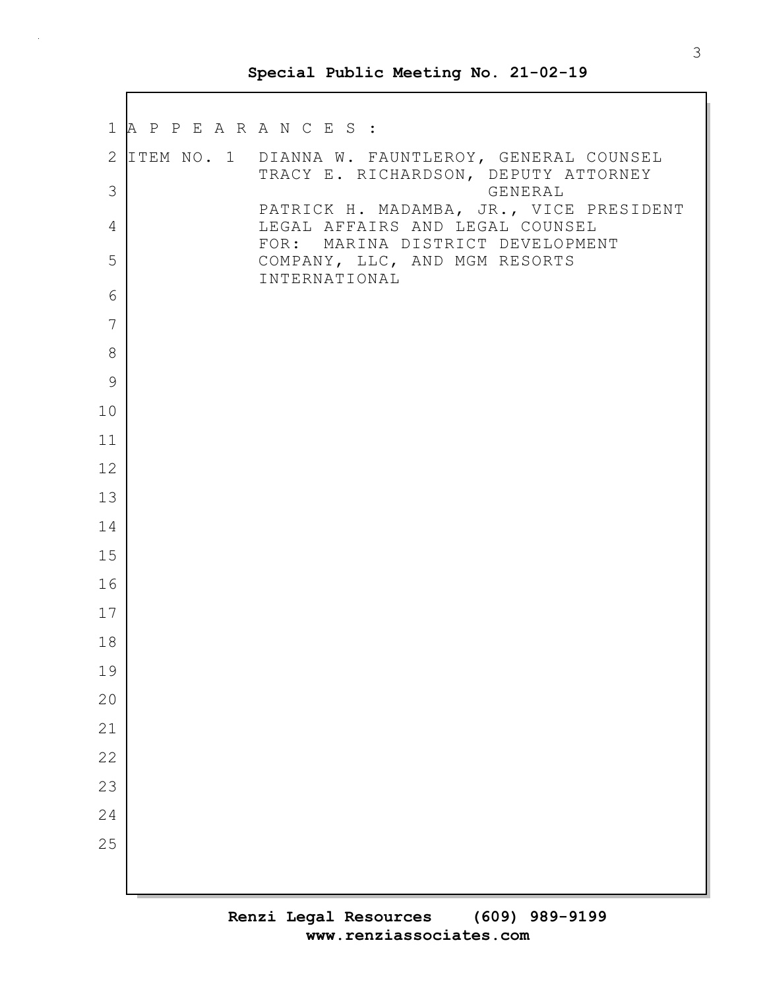$\mathbf I$ 

|               | 1 A P P E A R A N C E S : |                                                                                            |
|---------------|---------------------------|--------------------------------------------------------------------------------------------|
|               |                           | 2 ITEM NO. 1 DIANNA W. FAUNTLEROY, GENERAL COUNSEL<br>TRACY E. RICHARDSON, DEPUTY ATTORNEY |
| 3             |                           | GENERAL<br>PATRICK H. MADAMBA, JR., VICE PRESIDENT                                         |
| 4             |                           | LEGAL AFFAIRS AND LEGAL COUNSEL<br>FOR: MARINA DISTRICT DEVELOPMENT                        |
| 5             |                           | COMPANY, LLC, AND MGM RESORTS<br>INTERNATIONAL                                             |
| 6             |                           |                                                                                            |
| 7             |                           |                                                                                            |
| 8             |                           |                                                                                            |
| $\mathcal{G}$ |                           |                                                                                            |
| 10            |                           |                                                                                            |
| 11            |                           |                                                                                            |
| 12            |                           |                                                                                            |
| 13            |                           |                                                                                            |
| 14            |                           |                                                                                            |
| 15            |                           |                                                                                            |
| 16            |                           |                                                                                            |
| 17            |                           |                                                                                            |
| 18            |                           |                                                                                            |
| 19            |                           |                                                                                            |
| 20            |                           |                                                                                            |
| 21            |                           |                                                                                            |
| 22            |                           |                                                                                            |
| 23            |                           |                                                                                            |
| 24            |                           |                                                                                            |
| 25            |                           |                                                                                            |
|               |                           |                                                                                            |
|               |                           |                                                                                            |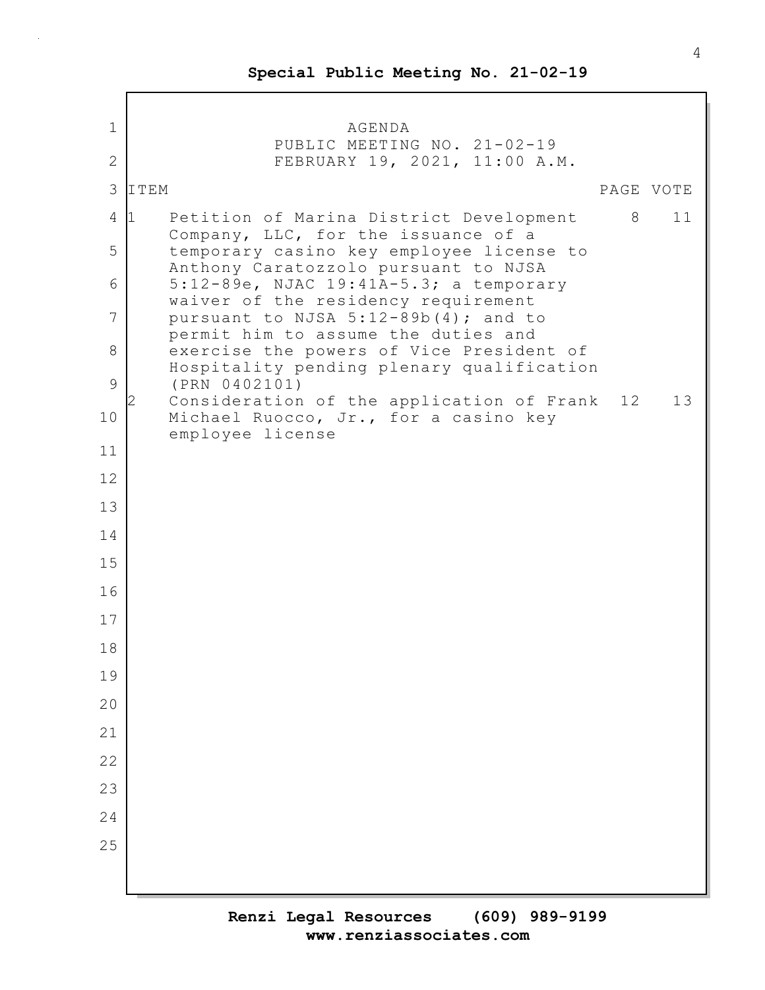| $\mathbf 1$<br>$\mathbf{2}$<br>3 | AGENDA<br>PUBLIC MEETING NO. 21-02-19<br>FEBRUARY 19, 2021, 11:00 A.M.<br>ITEM                 |   |           |
|----------------------------------|------------------------------------------------------------------------------------------------|---|-----------|
|                                  |                                                                                                |   |           |
|                                  |                                                                                                |   |           |
|                                  |                                                                                                |   | PAGE VOTE |
| 4                                | Petition of Marina District Development<br>$\mathbf{1}$<br>Company, LLC, for the issuance of a | 8 | 11        |
| 5                                | temporary casino key employee license to<br>Anthony Caratozzolo pursuant to NJSA               |   |           |
| 6                                | 5:12-89e, NJAC 19:41A-5.3; a temporary<br>waiver of the residency requirement                  |   |           |
| 7                                | pursuant to NJSA 5:12-89b(4); and to<br>permit him to assume the duties and                    |   |           |
| 8                                | exercise the powers of Vice President of<br>Hospitality pending plenary qualification          |   |           |
| 9                                | (PRN 0402101)<br>Consideration of the application of Frank                                     |   | 12<br>13  |
| 10                               | Michael Ruocco, Jr., for a casino key<br>employee license                                      |   |           |
| 11                               |                                                                                                |   |           |
| 12                               |                                                                                                |   |           |
| 13                               |                                                                                                |   |           |
| 14                               |                                                                                                |   |           |
| 15                               |                                                                                                |   |           |
| 16                               |                                                                                                |   |           |
| 17                               |                                                                                                |   |           |
| 18                               |                                                                                                |   |           |
| 19                               |                                                                                                |   |           |
| 20                               |                                                                                                |   |           |
| 21                               |                                                                                                |   |           |
| 22                               |                                                                                                |   |           |
| 23                               |                                                                                                |   |           |
| 24                               |                                                                                                |   |           |
| 25                               |                                                                                                |   |           |
|                                  |                                                                                                |   |           |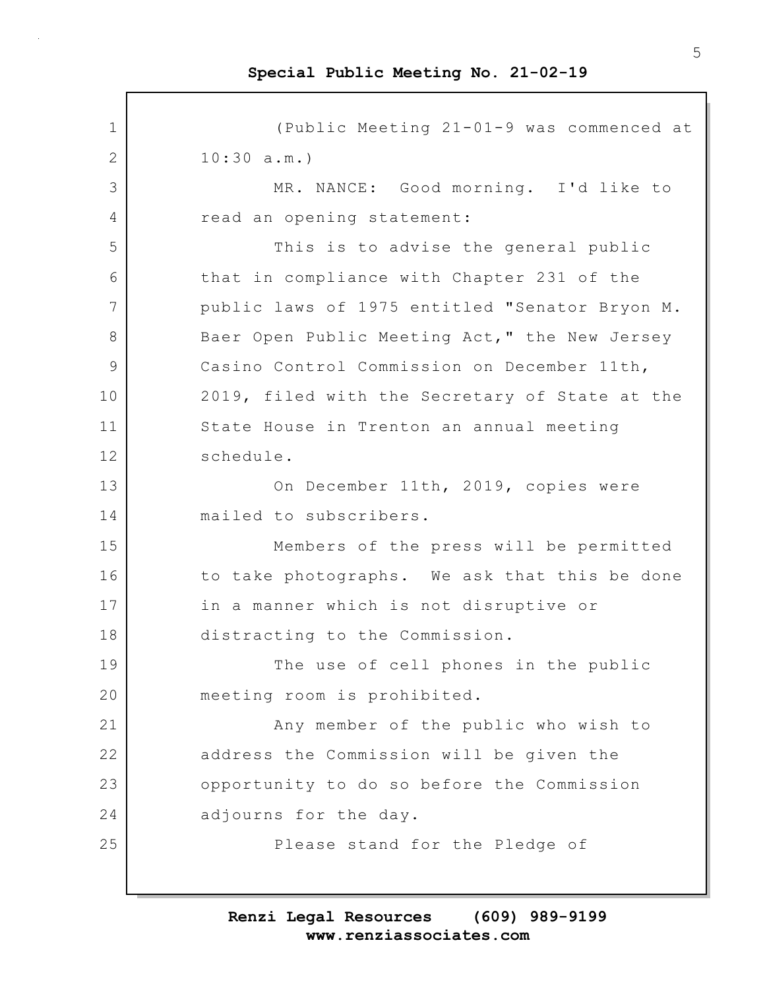1 (Public Meeting 21-01-9 was commenced at 2 10:30 a.m.) 3 MR. NANCE: Good morning. I'd like to 4 read an opening statement: 5 This is to advise the general public 6 that in compliance with Chapter 231 of the 7 public laws of 1975 entitled "Senator Bryon M. 8 Baer Open Public Meeting Act," the New Jersey 9 Casino Control Commission on December 11th, 10 2019, filed with the Secretary of State at the 11 State House in Trenton an annual meeting 12 schedule. 13 On December 11th, 2019, copies were 14 mailed to subscribers. 15 Members of the press will be permitted 16 to take photographs. We ask that this be done 17 in a manner which is not disruptive or 18 distracting to the Commission. 19 The use of cell phones in the public 20 meeting room is prohibited. 21 Any member of the public who wish to 22 address the Commission will be given the 23 opportunity to do so before the Commission 24 adjourns for the day. 25 Please stand for the Pledge of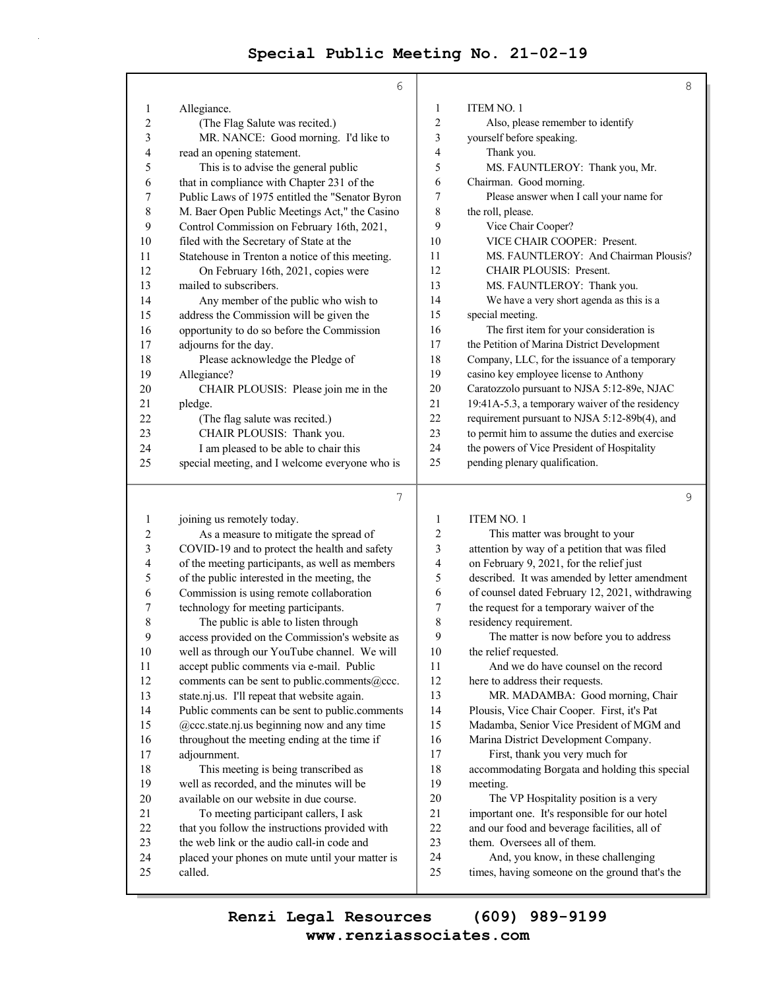$\bar{z}$ 

|                | 6                                               |                | 8                                               |
|----------------|-------------------------------------------------|----------------|-------------------------------------------------|
| 1              | Allegiance.                                     | 1              | ITEM NO. 1                                      |
| $\overline{2}$ | (The Flag Salute was recited.)                  | $\overline{c}$ | Also, please remember to identify               |
| 3              | MR. NANCE: Good morning. I'd like to            | 3              | yourself before speaking.                       |
| 4              | read an opening statement.                      | 4              | Thank you.                                      |
| 5              | This is to advise the general public            | 5              | MS. FAUNTLEROY: Thank you, Mr.                  |
| 6              | that in compliance with Chapter 231 of the      | 6              | Chairman. Good morning.                         |
| 7              | Public Laws of 1975 entitled the "Senator Byron | 7              | Please answer when I call your name for         |
| 8              | M. Baer Open Public Meetings Act," the Casino   | 8              | the roll, please.                               |
| 9              | Control Commission on February 16th, 2021,      | 9              | Vice Chair Cooper?                              |
| 10             | filed with the Secretary of State at the        | 10             | VICE CHAIR COOPER: Present.                     |
| 11             | Statehouse in Trenton a notice of this meeting. | 11             | MS. FAUNTLEROY: And Chairman Plousis?           |
| 12             | On February 16th, 2021, copies were             | 12             | <b>CHAIR PLOUSIS: Present.</b>                  |
| 13             | mailed to subscribers.                          | 13             | MS. FAUNTLEROY: Thank you.                      |
| 14             | Any member of the public who wish to            | 14             | We have a very short agenda as this is a        |
| 15             | address the Commission will be given the        | 15             | special meeting.                                |
| 16             | opportunity to do so before the Commission      | 16             | The first item for your consideration is        |
| 17             | adjourns for the day.                           | 17             | the Petition of Marina District Development     |
| 18             | Please acknowledge the Pledge of                | 18             | Company, LLC, for the issuance of a temporary   |
| 19             | Allegiance?                                     | 19             | casino key employee license to Anthony          |
| 20             | CHAIR PLOUSIS: Please join me in the            | 20             | Caratozzolo pursuant to NJSA 5:12-89e, NJAC     |
| 21             | pledge.                                         | 21             | 19:41A-5.3, a temporary waiver of the residency |
| 22             | (The flag salute was recited.)                  | 22             | requirement pursuant to NJSA 5:12-89b(4), and   |
| 23             | CHAIR PLOUSIS: Thank you.                       | 23             | to permit him to assume the duties and exercise |
| 24             | I am pleased to be able to chair this           | 24             | the powers of Vice President of Hospitality     |
| 25             | special meeting, and I welcome everyone who is  | 25             | pending plenary qualification.                  |
|                |                                                 |                |                                                 |
|                | 7                                               |                | 9                                               |
| 1              | joining us remotely today.                      | 1              | <b>ITEM NO. 1</b>                               |
| $\overline{2}$ | As a measure to mitigate the spread of          | $\overline{2}$ | This matter was brought to your                 |

| 1  | joining us remotely today.                      | 1  | <b>ITEM NO. 1</b>                               |
|----|-------------------------------------------------|----|-------------------------------------------------|
| 2  | As a measure to mitigate the spread of          | 2  | This matter was brought to your                 |
| 3  | COVID-19 and to protect the health and safety   | 3  | attention by way of a petition that was filed   |
| 4  | of the meeting participants, as well as members | 4  | on February 9, 2021, for the relief just        |
| 5  | of the public interested in the meeting, the    | 5  | described. It was amended by letter amendment   |
| 6  | Commission is using remote collaboration        | 6  | of counsel dated February 12, 2021, withdrawing |
| 7  | technology for meeting participants.            | 7  | the request for a temporary waiver of the       |
| 8  | The public is able to listen through            | 8  | residency requirement.                          |
| 9  | access provided on the Commission's website as  | 9  | The matter is now before you to address         |
| 10 | well as through our YouTube channel. We will    | 10 | the relief requested.                           |
| 11 | accept public comments via e-mail. Public       | 11 | And we do have counsel on the record            |
| 12 | comments can be sent to public.comments@ccc.    | 12 | here to address their requests.                 |
| 13 | state.nj.us. I'll repeat that website again.    | 13 | MR. MADAMBA: Good morning, Chair                |
| 14 | Public comments can be sent to public.comments  | 14 | Plousis, Vice Chair Cooper. First, it's Pat     |
| 15 | @ccc.state.nj.us beginning now and any time     | 15 | Madamba, Senior Vice President of MGM and       |
| 16 | throughout the meeting ending at the time if    | 16 | Marina District Development Company.            |
| 17 | adjournment.                                    | 17 | First, thank you very much for                  |
| 18 | This meeting is being transcribed as            | 18 | accommodating Borgata and holding this special  |
| 19 | well as recorded, and the minutes will be       | 19 | meeting.                                        |
| 20 | available on our website in due course.         | 20 | The VP Hospitality position is a very           |
| 21 | To meeting participant callers, I ask           | 21 | important one. It's responsible for our hotel   |
| 22 | that you follow the instructions provided with  | 22 | and our food and beverage facilities, all of    |
| 23 | the web link or the audio call-in code and      | 23 | them. Oversees all of them.                     |
| 24 | placed your phones on mute until your matter is | 24 | And, you know, in these challenging             |
| 25 | called.                                         | 25 | times, having someone on the ground that's the  |
|    |                                                 |    |                                                 |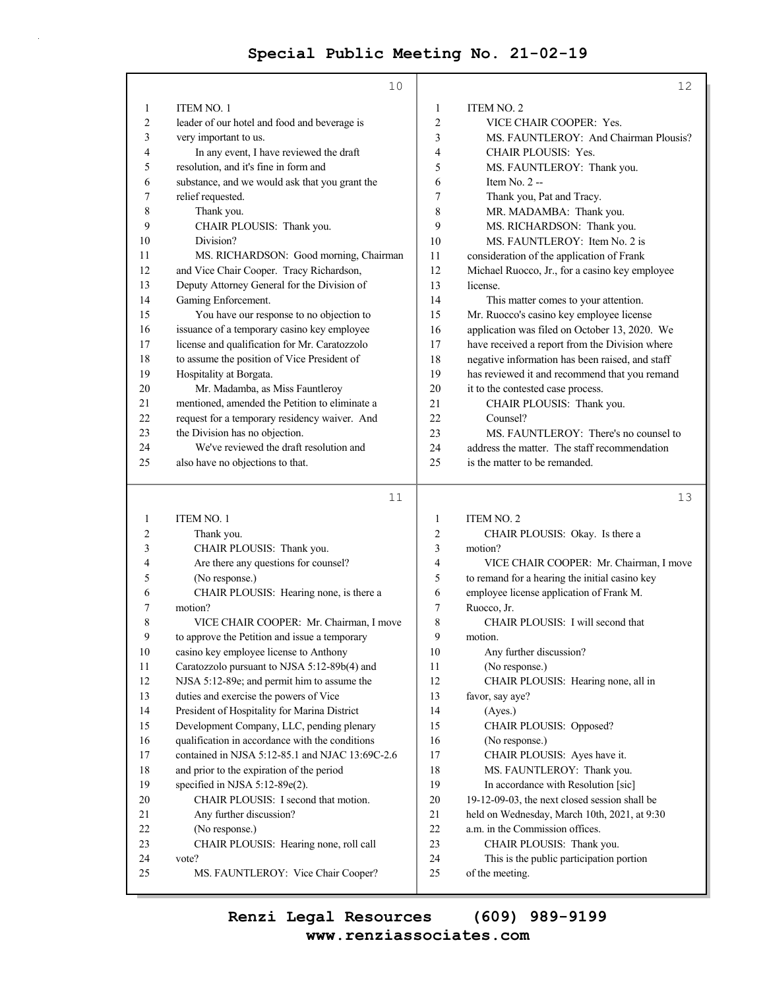|                | 10                                              |                         | 12                                                          |
|----------------|-------------------------------------------------|-------------------------|-------------------------------------------------------------|
| 1              | ITEM NO. 1                                      | 1                       | <b>ITEM NO. 2</b>                                           |
| $\overline{c}$ | leader of our hotel and food and beverage is    | $\overline{\mathbf{c}}$ | VICE CHAIR COOPER: Yes.                                     |
| 3              | very important to us.                           | 3                       | MS. FAUNTLEROY: And Chairman Plousis?                       |
| 4              | In any event, I have reviewed the draft         | 4                       | <b>CHAIR PLOUSIS: Yes.</b>                                  |
| 5              | resolution, and it's fine in form and           | 5                       | MS. FAUNTLEROY: Thank you.                                  |
| 6              | substance, and we would ask that you grant the  | 6                       | Item $No. 2 -$                                              |
| 7              | relief requested.                               | 7                       | Thank you, Pat and Tracy.                                   |
| 8              | Thank you.                                      | 8                       | MR. MADAMBA: Thank you.                                     |
| 9              | CHAIR PLOUSIS: Thank you.                       | 9                       | MS. RICHARDSON: Thank you.                                  |
| 10             | Division?                                       | 10                      | MS. FAUNTLEROY: Item No. 2 is                               |
| 11             | MS. RICHARDSON: Good morning, Chairman          | 11                      | consideration of the application of Frank                   |
| 12             | and Vice Chair Cooper. Tracy Richardson,        | 12                      | Michael Ruocco, Jr., for a casino key employee              |
| 13             | Deputy Attorney General for the Division of     | 13                      | license.                                                    |
| 14             | Gaming Enforcement.                             | 14                      | This matter comes to your attention.                        |
| 15             | You have our response to no objection to        | 15                      | Mr. Ruocco's casino key employee license                    |
| 16             | issuance of a temporary casino key employee     | 16                      | application was filed on October 13, 2020. We               |
| 17             | license and qualification for Mr. Caratozzolo   | 17                      | have received a report from the Division where              |
| 18             | to assume the position of Vice President of     | 18                      | negative information has been raised, and staff             |
| 19             | Hospitality at Borgata.                         | 19                      | has reviewed it and recommend that you remand               |
| 20             | Mr. Madamba, as Miss Fauntleroy                 | 20                      | it to the contested case process.                           |
| 21             | mentioned, amended the Petition to eliminate a  | 21                      | CHAIR PLOUSIS: Thank you.                                   |
| 22             | request for a temporary residency waiver. And   | 22                      | Counsel?                                                    |
| 23             | the Division has no objection.                  | 23                      | MS. FAUNTLEROY: There's no counsel to                       |
| 24             | We've reviewed the draft resolution and         | 24                      | address the matter. The staff recommendation                |
| 25             | also have no objections to that.                | 25                      | is the matter to be remanded.                               |
|                | 11                                              |                         | 13                                                          |
|                |                                                 |                         |                                                             |
| 1              | ITEM NO. 1                                      | 1                       | <b>ITEM NO. 2</b>                                           |
| 2              |                                                 |                         |                                                             |
|                | Thank you.                                      | 2                       | CHAIR PLOUSIS: Okay. Is there a                             |
| 3              | CHAIR PLOUSIS: Thank you.                       | 3                       | motion?                                                     |
| 4              | Are there any questions for counsel?            | 4                       | VICE CHAIR COOPER: Mr. Chairman, I move                     |
| 5              | (No response.)                                  | 5                       | to remand for a hearing the initial casino key              |
| 6              | CHAIR PLOUSIS: Hearing none, is there a         | 6                       | employee license application of Frank M.                    |
| 7              | motion?                                         | 7                       | Ruocco, Jr.                                                 |
| 8              | VICE CHAIR COOPER: Mr. Chairman, I move         | 8                       | CHAIR PLOUSIS: I will second that                           |
| 9              | to approve the Petition and issue a temporary   | 9                       | motion.                                                     |
| 10             | casino key employee license to Anthony          | 10                      | Any further discussion?                                     |
| 11             | Caratozzolo pursuant to NJSA 5:12-89b(4) and    | 11                      | (No response.)                                              |
| 12             | NJSA 5:12-89e; and permit him to assume the     | 12                      | CHAIR PLOUSIS: Hearing none, all in                         |
| 13             | duties and exercise the powers of Vice          | 13                      | favor, say aye?                                             |
| 14             | President of Hospitality for Marina District    | 14                      | (Ayes.)                                                     |
| 15             | Development Company, LLC, pending plenary       | 15                      | CHAIR PLOUSIS: Opposed?                                     |
| 16             | qualification in accordance with the conditions | 16                      | (No response.)                                              |
| 17             | contained in NJSA 5:12-85.1 and NJAC 13:69C-2.6 | 17                      | CHAIR PLOUSIS: Ayes have it.                                |
| 18             | and prior to the expiration of the period       | 18                      | MS. FAUNTLEROY: Thank you.                                  |
| 19             | specified in NJSA 5:12-89e(2).                  | 19                      | In accordance with Resolution [sic]                         |
| 20             | CHAIR PLOUSIS: I second that motion.            | 20                      | 19-12-09-03, the next closed session shall be               |
| 21             | Any further discussion?                         | 21                      | held on Wednesday, March 10th, 2021, at 9:30                |
| 22<br>23       | (No response.)                                  | 22                      | a.m. in the Commission offices.                             |
| 24             | CHAIR PLOUSIS: Hearing none, roll call<br>vote? | 23<br>24                | CHAIR PLOUSIS: Thank you.                                   |
| 25             | MS. FAUNTLEROY: Vice Chair Cooper?              | 25                      | This is the public participation portion<br>of the meeting. |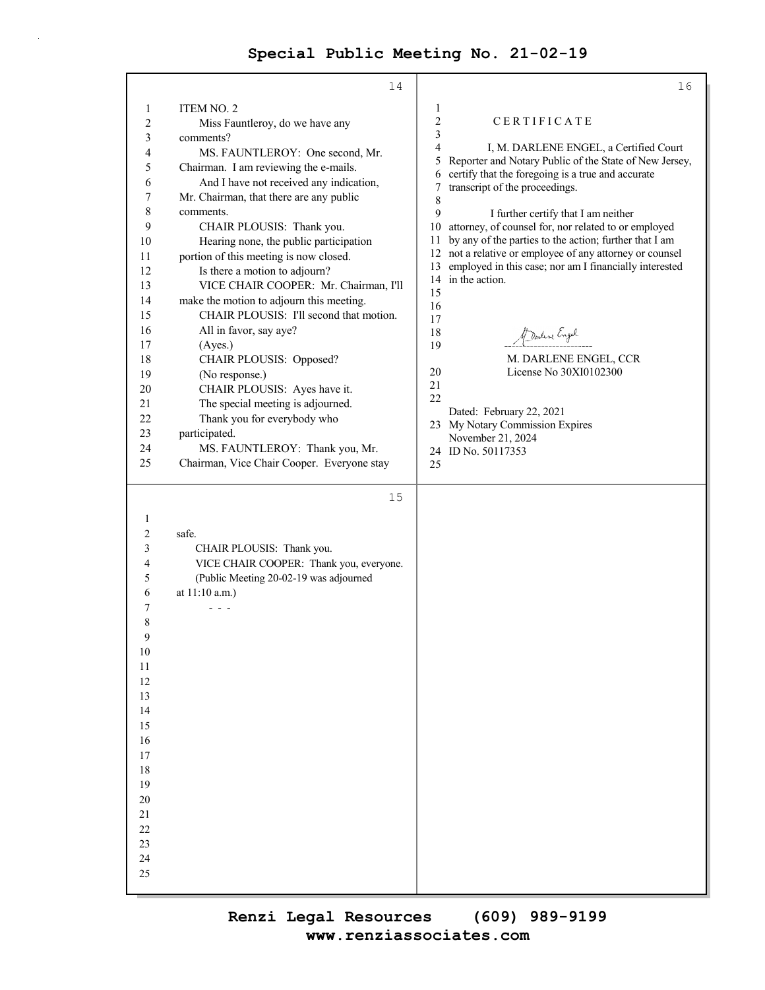|              | 14                                         | 16                                                                                            |
|--------------|--------------------------------------------|-----------------------------------------------------------------------------------------------|
| 1            | ITEM NO. 2                                 | 1                                                                                             |
| $\sqrt{2}$   | Miss Fauntleroy, do we have any            | $\overline{c}$<br>CERTIFICATE                                                                 |
| 3            | comments?                                  | 3                                                                                             |
| 4            | MS. FAUNTLEROY: One second, Mr.            | 4<br>I, M. DARLENE ENGEL, a Certified Court                                                   |
| 5            | Chairman. I am reviewing the e-mails.      | Reporter and Notary Public of the State of New Jersey,<br>5                                   |
| 6            | And I have not received any indication,    | certify that the foregoing is a true and accurate<br>6<br>transcript of the proceedings.<br>7 |
| 7            | Mr. Chairman, that there are any public    | 8                                                                                             |
| $\,8\,$      | comments.                                  | 9<br>I further certify that I am neither                                                      |
| 9            | CHAIR PLOUSIS: Thank you.                  | attorney, of counsel for, nor related to or employed<br>10                                    |
| 10           | Hearing none, the public participation     | by any of the parties to the action; further that I am<br>11                                  |
| 11           | portion of this meeting is now closed.     | not a relative or employee of any attorney or counsel<br>12                                   |
| 12           | Is there a motion to adjourn?              | employed in this case; nor am I financially interested<br>13<br>14 in the action.             |
| 13           | VICE CHAIR COOPER: Mr. Chairman, I'll      | 15                                                                                            |
| 14           | make the motion to adjourn this meeting.   | 16                                                                                            |
| 15           | CHAIR PLOUSIS: I'll second that motion.    | 17                                                                                            |
| 16           | All in favor, say aye?                     | 18<br>Marline Engel                                                                           |
| 17           | (Ayes.)                                    | 19                                                                                            |
| 18           | CHAIR PLOUSIS: Opposed?                    | M. DARLENE ENGEL, CCR                                                                         |
| 19           | (No response.)                             | License No 30XI0102300<br>20<br>21                                                            |
| 20           | CHAIR PLOUSIS: Ayes have it.               | 22                                                                                            |
| 21           | The special meeting is adjourned.          | Dated: February 22, 2021                                                                      |
| 22           | Thank you for everybody who                | My Notary Commission Expires<br>23                                                            |
| 23           | participated.                              | November 21, 2024                                                                             |
| 24<br>25     | MS. FAUNTLEROY: Thank you, Mr.             | 24 ID No. 50117353                                                                            |
|              | Chairman, Vice Chair Cooper. Everyone stay | 25                                                                                            |
|              |                                            |                                                                                               |
|              |                                            |                                                                                               |
|              | 15                                         |                                                                                               |
| $\mathbf{1}$ |                                            |                                                                                               |
| 2            | safe.                                      |                                                                                               |
| 3            | CHAIR PLOUSIS: Thank you.                  |                                                                                               |
| 4            | VICE CHAIR COOPER: Thank you, everyone.    |                                                                                               |
| 5            | (Public Meeting 20-02-19 was adjourned     |                                                                                               |
| 6            | at 11:10 a.m.)                             |                                                                                               |
| 7            | $  -$                                      |                                                                                               |
| 8            |                                            |                                                                                               |
| Q            |                                            |                                                                                               |
| 10           |                                            |                                                                                               |
| $11\,$       |                                            |                                                                                               |
| 12           |                                            |                                                                                               |
| 13           |                                            |                                                                                               |
| 14           |                                            |                                                                                               |
| 15           |                                            |                                                                                               |
| 16<br>17     |                                            |                                                                                               |
| 18           |                                            |                                                                                               |
| 19           |                                            |                                                                                               |
| 20           |                                            |                                                                                               |
| $21\,$       |                                            |                                                                                               |
| 22           |                                            |                                                                                               |
| 23           |                                            |                                                                                               |
| 24           |                                            |                                                                                               |
| 25           |                                            |                                                                                               |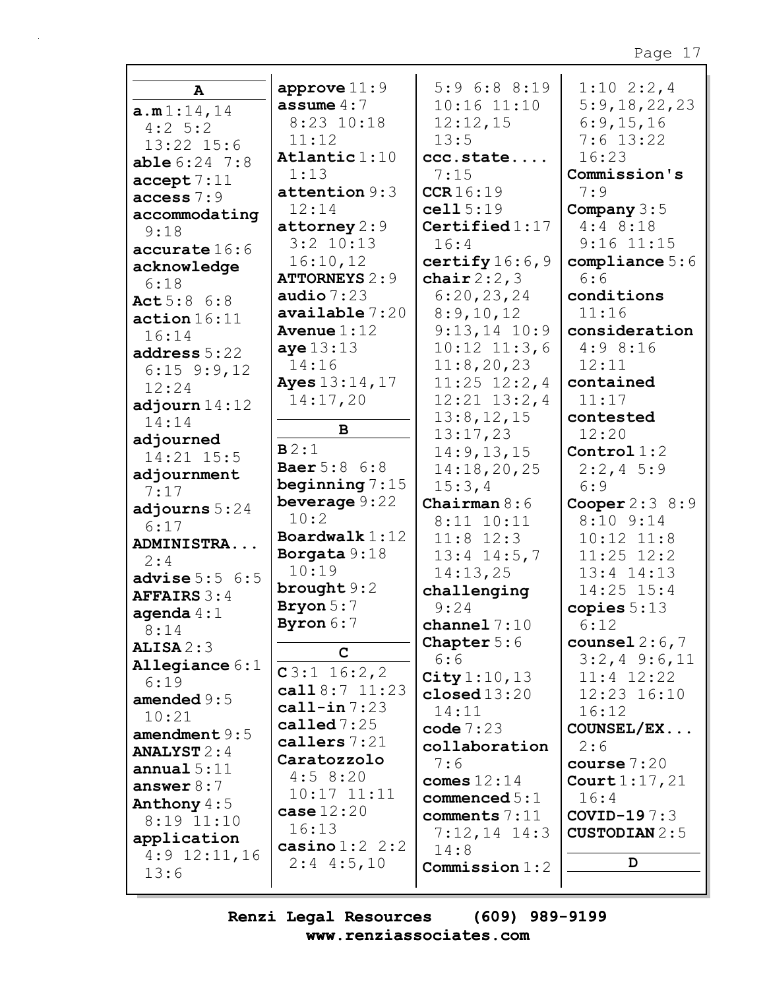| $\mathbf{A}$          | approve $11:9$                   | $5:9$ 6:8 8:19          | $1:10 \t2:2,4$               |
|-----------------------|----------------------------------|-------------------------|------------------------------|
| a.m1:14,14            | assume $4:7$                     | $10:16$ $11:10$         | 5:9,18,22,23                 |
| $4:2$ 5:2             | 8:23 10:18                       | 12:12,15                | 6:9,15,16                    |
| 13:22 15:6            | 11:12                            | 13:5                    | $7:6$ 13:22                  |
| $able 6:24$ 7:8       | Atlantic 1:10                    | ccc.state               | 16:23                        |
| accept 7:11           | 1:13                             | 7:15                    | Commission's                 |
| access 7:9            | attention 9:3                    | CCR16:19                | 7:9                          |
| accommodating         | 12:14                            | cell 5:19               | Company $3:5$                |
| 9:18                  | attorney $2:9$                   | Certified $1:17$        | $4:4$ 8:18                   |
| accurate 16:6         | $3:2$ 10:13                      | 16:4                    | $9:16$ $11:15$               |
| acknowledge           | 16:10,12                         | certify $16:6,9$        | compliance $5:6$             |
| 6:18                  | <b>ATTORNEYS 2:9</b>             | chair $2:2,3$           | 6:6                          |
| Act 5:8 6:8           | audio $7:23$                     | 6:20,23,24              | conditions                   |
| action 16:11          | available 7:20                   | 8:9,10,12               | 11:16                        |
| 16:14                 | Avenue $1:12$                    | $9:13,14$ 10:9          | consideration                |
| address 5:22          | aye $13:13$                      | $10:12$ $11:3,6$        | 4:98:16                      |
| $6:15$ $9:9,12$       | 14:16                            | 11:8,20,23              | 12:11                        |
| 12:24                 | <b>Ayes</b> 13:14, 17            | $11:25$ $12:2,4$        | contained                    |
| adjourn $14:12$       | 14:17,20                         | $12:21$ $13:2,4$        | 11:17                        |
| 14:14                 |                                  | 13:8, 12, 15            | contested                    |
| adjourned             | $\mathbf B$                      | 13:17,23                | 12:20                        |
| 14:21 15:5            | B2:1                             | 14:9, 13, 15            | Control $1:2$                |
| adjournment           | <b>Baer</b> 5:8 6:8              | 14:18,20,25             | $2:2,4$ 5:9                  |
| 7:17                  | beginning $7:15$                 | 15:3,4                  | 6:9                          |
| adjourns $5:24$       | beverage 9:22<br>10:2            | Chairman $8:6$          | Cooper $2:3$ 8:9             |
| 6:17                  | Boardwalk $1:12$                 | $8:11$ $10:11$          | $8:10$ $9:14$                |
| ADMINISTRA            |                                  | $11:8$ 12:3             | $10:12$ $11:8$               |
| 2:4                   | Borgata 9:18<br>10:19            | $13:4$ $14:5,7$         | $11:25$ $12:2$               |
| advise $5:5 \t6:5$    | brought $9:2$                    | 14:13,25<br>challenging | $13:4$ $14:13$<br>14:25 15:4 |
| <b>AFFAIRS 3:4</b>    | Bryon 5:7                        | 9:24                    | copies $5:13$                |
| agenda $4:1$          | Byron 6:7                        | channel $7:10$          | 6:12                         |
| 8:14                  |                                  | <b>Chapter</b> $5:6$    | counsel $2:6,7$              |
| ALISA2:3              | C                                | 6:6                     | $3:2,4$ 9:6,11               |
| Allegiance $6:1$      | $C3:1$ 16:2,2                    | City $1:10, 13$         | $11:4$ $12:22$               |
| 6:19<br>amended $9:5$ | call $8:7$ 11:23                 | closed13:20             | 12:23 16:10                  |
| 10:21                 | $cal1$ -in $7:23$                | 14:11                   | 16:12                        |
| amendment $9:5$       | called $7:25$                    | code $7:23$             | COUNSEL/EX                   |
| <b>ANALYST</b> $2:4$  | callers $7:21$                   | collaboration           | 2:6                          |
| annual $5:11$         | Caratozzolo                      | 7:6                     | course $7:20$                |
| answer $8:7$          | 4:58:20                          | comes $12:14$           | Court $1:17,21$              |
| Anthony $4:5$         | $10:17$ $11:11$                  | commenced $5:1$         | 16:4                         |
| $8:19$ $11:10$        | case $12:20$                     | comments 7:11           | COVID-19 $7:3$               |
| application           | 16:13                            | $7:12,14$ 14:3          | <b>CUSTODIAN</b> 2:5         |
| $4:9$ 12:11,16        | casino $1:2$ 2:2<br>$2:4$ 4:5,10 | 14:8                    | D                            |
| 13:6                  |                                  | <b>Commission</b> 1:2   |                              |
|                       |                                  |                         |                              |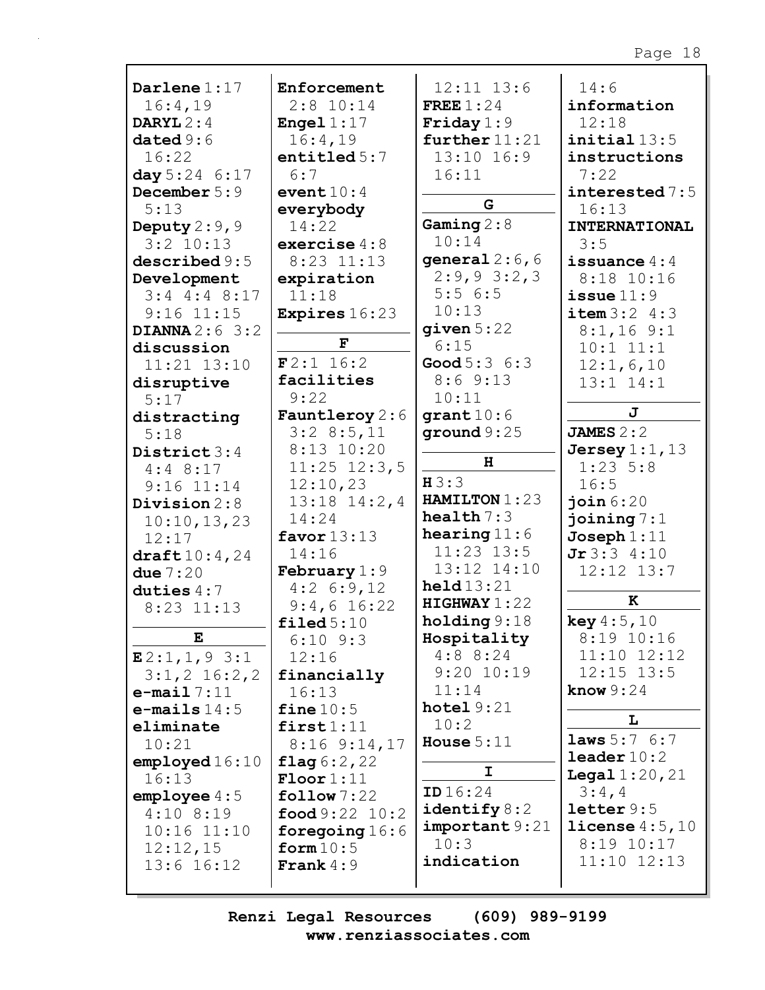| Darlene $1:17$           | Enforcement                    | $12:11$ $13:6$          | 14:6                     |
|--------------------------|--------------------------------|-------------------------|--------------------------|
| 16:4,19                  | $2:8$ 10:14                    | FREE $1:24$             | information              |
| DARYL $2:4$              | Engel $1:17$                   | Friday $1:9$            | 12:18                    |
| dataed9:6                | 16:4,19                        | further $11:21$         | $initial$ $13:5$         |
| 16:22                    | entitled $5:7$                 | $13:10$ $16:9$          | instructions             |
| day 5:24 6:17            | 6:7                            | 16:11                   | 7:22                     |
| December 5:9             | event $10:4$                   |                         | interested 7:5           |
| 5:13                     | everybody                      | G                       | 16:13                    |
| Deputy $2:9$ , 9         | 14:22                          | Gaming $2:8$            | <b>INTERNATIONAL</b>     |
| $3:2$ 10:13              | exercise $4:8$                 | 10:14                   | 3:5                      |
| described 9:5            | $8:23$ $11:13$                 | general $2:6, 6$        | issuance $4:4$           |
| Development              | expiration                     | $2:9,9$ 3:2,3           | $8:18$ 10:16             |
| $3:4$ 4:4 8:17           | 11:18                          | 5:56:5                  | issue $11:9$             |
| $9:16$ $11:15$           | <b>Expires</b> 16:23           | 10:13                   | item 3:2 4:3             |
| DIANNA $2:6$ 3:2         |                                | given $5:22$            | $8:1,16$ 9:1             |
| discussion               | F                              | 6:15                    | $10:1$ $11:1$            |
| $11:21$ $13:10$          | F2:1 16:2                      | <b>Good</b> $5:3 \ 6:3$ | 12:1,6,10                |
| disruptive               | facilities                     | 8:69::13                | $13:1$ $14:1$            |
| 5:17                     | 9:22                           | 10:11                   |                          |
| distracting              | <b>Fauntleroy</b> $2:6$        | grant10:6               | J                        |
| 5:18                     | 3:28:5,11                      | ground $9:25$           | JAMES $2:2$              |
| District $3:4$           | $8:13$ 10:20                   |                         | Jersey $1:1$ , $13$      |
| $4:4$ 8:17               | $11:25$ $12:3,5$               | н                       | $1:23$ 5:8               |
| $9:16$ $11:14$           | 12:10,23                       | H3:3                    | 16:5                     |
| Division $2:8$           | $13:18$ $14:2,4$               | HAMILTON 1:23           | join 6:20                |
| 10:10, 13, 23            | 14:24                          | health $7:3$            | joining $7:1$            |
| 12:17                    | favor $13:13$                  | hearing $11:6$          | $Joseph 1:11$            |
| $\texttt{draff} 10:4,24$ | 14:16                          | $11:23$ $13:5$          | Jr3:34:10                |
| due $7:20$               | February $1:9$                 | 13:12 14:10             | $12:12$ $13:7$           |
| duties $4:7$             | 4:26:9,12                      | $\text{held}13:21$      |                          |
| $8:23$ 11:13             | $9:4,6$ 16:22                  | HIGHWAY1:22             | к                        |
|                          | $\texttt{filed}~5:10$          | holding $9:18$          | key 4:5,10               |
| E                        | $6:10$ $9:3$                   | Hospitality             | 8:19 10:16               |
| E2:1,1,93:1              | 12:16                          | $4:8$ 8:24              | $11:10$ $12:12$          |
| $3:1,2$ 16:2,2           | financially                    | $9:20$ 10:19            | $12:15$ $13:5$           |
| $e$ -mail $7:11$         | 16:13                          | 11:14                   | know $9:24$              |
| $e$ -mails $14:5$        | fine $10:5$                    | hotel $9:21$            | L                        |
| eliminate                | first1:11                      | 10:2                    |                          |
| 10:21                    | $8:16$ $9:14,17$               | House $5:11$            | <b>laws</b> $5:7 \, 6:7$ |
| employd16:10             | flag $6:2,22$                  | I.                      | $\texttt{leader}10:2$    |
| 16:13                    | $\text{Floor}1:11$             |                         | <b>Legal</b> $1:20,21$   |
| emplope 4:5              | $\texttt{follow} 7:22$         | ID16:24                 | 3:4,4                    |
| $4:10$ 8:19              | $\text{food } 9:22 \quad 10:2$ | identify $8:2$          | letter 9:5               |
| $10:16$ $11:10$          | foregoing $16:6$               | important 9:21          | license $4:5,10$         |
| 12:12,15                 | form $10:5$                    | 10:3                    | 8:19 10:17               |
| $13:6$ $16:12$           | <b>Frank</b> $4:9$             | indication              | $11:10$ $12:13$          |
|                          |                                |                         |                          |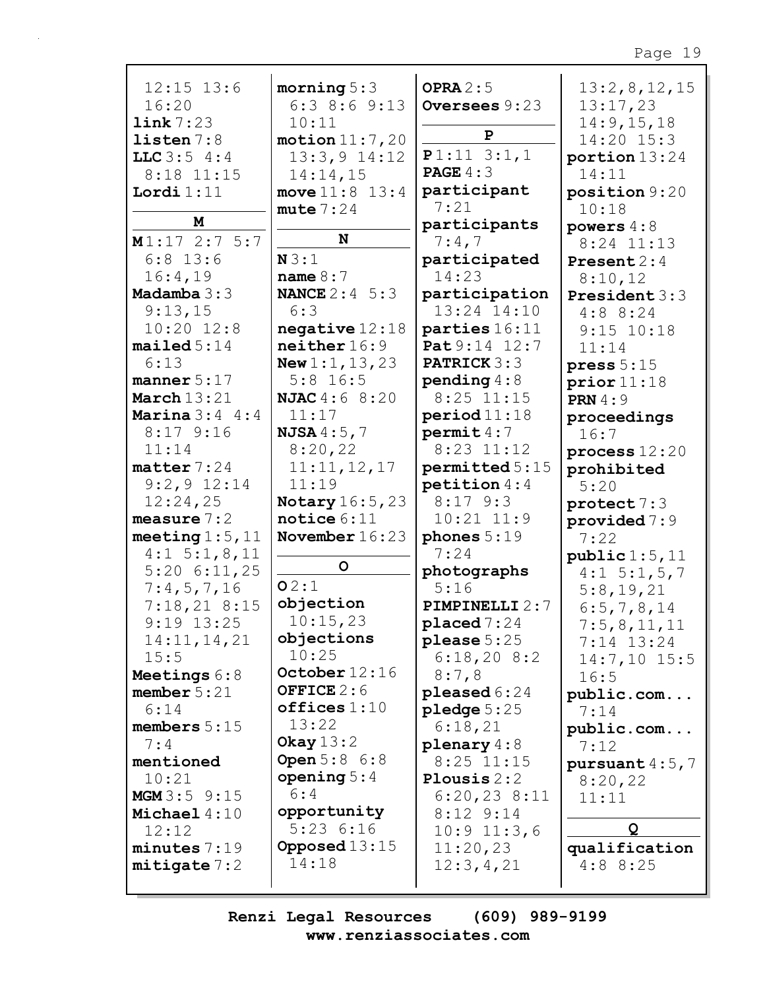| $12:15$ $13:6$         | morning $5:3$            | OPRA $2:5$            | 13:2,8,12,15           |
|------------------------|--------------------------|-----------------------|------------------------|
| 16:20                  | $6:3$ 8:6 9:13           | Oversees 9:23         | 13:17,23               |
|                        |                          |                       |                        |
| link 7:23              | 10:11                    |                       | 14:9, 15, 18           |
| listen 7:8             | motion 11:7,20           | P                     | 14:20 15:3             |
| LLC $3:5$ 4:4          | $13:3,9$ $14:12$         | $P1:11$ 3:1,1         | portion $13:24$        |
|                        |                          |                       |                        |
| 8:18 11:15             | 14:14,15                 | <b>PAGE</b> $4:3$     | 14:11                  |
| Lordi $1:11$           | move $11:8$ $13:4$       | participant           | position 9:20          |
|                        | mute 7:24                | 7:21                  | 10:18                  |
| M                      |                          | participants          |                        |
|                        |                          |                       | powers $4:8$           |
| $M1:17$ 2:7 5:7        | N                        | 7:4,7                 | $8:24$ 11:13           |
| $6:8$ 13:6             | N3:1                     | participated          | <b>Present</b> $2:4$   |
| 16:4,19                | name $8:7$               | 14:23                 | 8:10,12                |
|                        |                          |                       |                        |
| Madamba $3:3$          | <b>NANCE</b> $2:4 \ 5:3$ | participation         | President 3:3          |
| 9:13,15                | 6:3                      | 13:24 14:10           | 4:88:24                |
| $10:20$ $12:8$         | negative $12:18$         | parties 16:11         | $9:15$ $10:18$         |
| mailed 5:14            | neither 16:9             | Pat 9:14 12:7         |                        |
|                        |                          |                       | 11:14                  |
| 6:13                   | New $1:1$ , $13$ , $23$  | <b>PATRICK 3:3</b>    | press $5:15$           |
| manner $5:17$          | $5:8$ 16:5               | pending $4:8$         | prior11:18             |
| March $13:21$          | <b>NJAC</b> 4:6 8:20     | $8:25$ 11:15          | <b>PRN</b> 4:9         |
|                        |                          |                       |                        |
| Marina $3:4$ 4:4       | 11:17                    | period 11:18          | proceedings            |
| $8:17$ 9:16            | <b>NJSA</b> $4:5,7$      | permit 4:7            | 16:7                   |
| 11:14                  | 8:20,22                  | $8:23$ 11:12          | process $12:20$        |
| $\texttt{matter}$ 7:24 |                          |                       |                        |
|                        | 11:11,12,17              | permitted 5:15        | prohibited             |
| $9:2,9$ 12:14          | 11:19                    | petition $4:4$        | 5:20                   |
| 12:24,25               | <b>Notary</b> 16:5, 23   | $8:17$ 9:3            | $\texttt{protect} 7:3$ |
| measure $7:2$          | notice $6:11$            | $10:21$ $11:9$        | provided $7:9$         |
|                        |                          |                       |                        |
| meeting $1:5$ , $11$   | November $16:23$         | phones $5:19$         | 7:22                   |
| $4:1\ 5:1,8,11$        |                          | 7:24                  | public 1:5, 11         |
| $5:20$ 6:11,25         | $\mathsf{o}$             | photographs           | $4:1 \quad 5:1, 5, 7$  |
| 7:4,5,7,16             | 02:1                     | 5:16                  |                        |
|                        |                          |                       | 5:8,19,21              |
| 7:18,218:15            | objection                | <b>PIMPINELLI 2:7</b> | 6:5,7,8,14             |
| $9:19$ 13:25           | 10:15,23                 | $placed 7:24$         | 7:5,8,11,11            |
| 14:11, 14, 21          | objections               | $please 5:25$         | $7:14$ 13:24           |
| 15:5                   | 10:25                    | 6:18,208:2            |                        |
|                        |                          |                       | $14:7,10$ 15:5         |
| Meetings 6:8           | October $12:16$          | 8:7,8                 | 16:5                   |
| member $5:21$          | OFFICE $2:6$             | pleased $6:24$        | public.com             |
| 6:14                   | offices 1:10             | pledge $5:25$         | 7:14                   |
| members $5:15$         | 13:22                    | 6:18,21               |                        |
|                        | Okay $13:2$              |                       | public.com             |
| 7:4                    |                          | plenary $4:8$         | 7:12                   |
| mentioned              | <b>Open</b> 5:8 6:8      | $8:25$ 11:15          | pursuant $4:5,7$       |
| 10:21                  | opening $5:4$            | Plousis $2:2$         | 8:20,22                |
| MGM3:59:15             | 6:4                      | $6:20,23$ 8:11        | 11:11                  |
| Michael $4:10$         | opportunity              | $8:12$ $9:14$         |                        |
|                        |                          |                       |                        |
| 12:12                  | 5:236:16                 | $10:9$ $11:3,6$       | Q                      |
| minutes 7:19           | Opposed $13:15$          | 11:20,23              | qualification          |
| mitigate 7:2           | 14:18                    | 12:3,4,21             | 4:88:25                |
|                        |                          |                       |                        |
|                        |                          |                       |                        |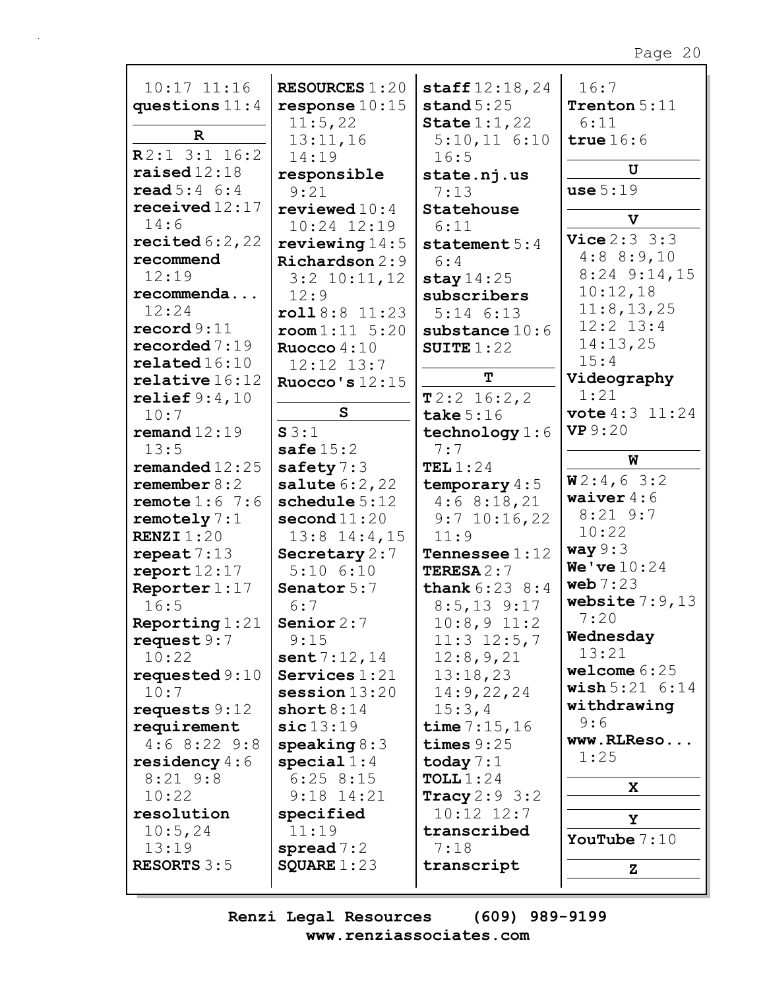| $10:17$ $11:16$              | <b>RESOURCES 1:20</b>       | $\texttt{staff12:18,24}$<br>stand $5:25$ | 16:7<br>Trenton $5:11$        |
|------------------------------|-----------------------------|------------------------------------------|-------------------------------|
| questions $11:4$             | $response 10:15$<br>11:5,22 |                                          | 6:11                          |
| $\mathbf R$                  |                             | State $1:1,22$                           | true $16:6$                   |
| $R2:1$ 3:1 16:2              | 13:11,16<br>14:19           | $5:10,11$ $6:10$<br>16:5                 |                               |
| raised $12:18$               |                             |                                          | U                             |
| $\text{read } 5:4 \quad 6:4$ | responsible<br>9:21         | state.nj.us<br>7:13                      | use 5:19                      |
| received $12:17$             | reviewed $10:4$             | Statehouse                               |                               |
| 14:6                         | $10:24$ $12:19$             | 6:11                                     | $\mathbf{v}$                  |
| recited $6:2$ , 22           | reviewing $14:5$            | statement $5:4$                          | <b>Vice</b> $2:3 \ 3:3$       |
| recommend                    | Richardson 2:9              | 6:4                                      | 4:88:9,10                     |
| 12:19                        |                             |                                          | $8:24$ $9:14,15$              |
| recommenda                   | $3:2$ 10:11, 12<br>12:9     | stay $14:25$<br>subscribers              | 10:12,18                      |
| 12:24                        | roll8:8 11:23               | $5:14$ $6:13$                            | 11:8, 13, 25                  |
| $\texttt{record} 9:11$       | $\texttt{room1:11} \ 5:20$  | substance $10:6$                         | $12:2$ $13:4$                 |
| recorded $7:19$              | Ruocco $4:10$               | SUITE $1:22$                             | 14:13,25                      |
| related16:10                 | 12:12 13:7                  |                                          | 15:4                          |
| relative 16:12               | Ruocco's $12:15$            | T                                        | Videography                   |
| relief $9:4,10$              |                             | $T2:2$ 16:2,2                            | 1:21                          |
| 10:7                         | S                           | take $5:16$                              | <b>vote</b> 4:3 11:24         |
| remand $12:19$               | S3:1                        | technology $1:6$                         | <b>VP</b> 9:20                |
| 13:5                         | safe $15:2$                 | 7:7                                      |                               |
| remanded $12:25$             | safety $7:3$                | TEL $1:24$                               | W                             |
| remember $8:2$               | <b>salute</b> $6:2,22$      | temporary $4:5$                          | W2:4,63:2                     |
| remote $1:6$ 7:6             | schedule 5:12               | 4:68:18,21                               | waiver $4:6$                  |
| remotely $7:1$               | second $11:20$              | $9:7$ 10:16,22                           | $8:21$ 9:7                    |
| RENZI $1:20$                 | $13:8$ $14:4$ , 15          | 11:9                                     | 10:22                         |
| repeat 7:13                  | Secretary 2:7               | Tennessee $1:12$                         | way $9:3$                     |
| report12:17                  | $5:10$ $6:10$               | <b>TERESA</b> $2:7$                      | <b>We've</b> $10:24$          |
| Reporter 1:17                | Senator 5:7                 | <b>thank</b> $6:23$ $8:4$                | web $7:23$                    |
| 16:5                         | 6:7                         | $8:5, 13$ 9:17                           | website $7:9,13$              |
| Reporting $1:21$             | Senior $2:7$                | $10:8,9$ 11:2                            | 7:20                          |
| request $9:7$                | 9:15                        | $11:3$ $12:5,7$                          | Wednesday                     |
| 10:22                        | sent $7:12,14$              | 12:8,9,21                                | 13:21                         |
| requested $9:10$             | Services $1:21$             | 13:18,23                                 | welcome $6:25$                |
| 10:7                         | $s$ ession $13:20$          | 14:9,22,24                               | $\texttt{wish} 5:21 \ \ 6:14$ |
| requests $9:12$              | short 8:14                  | 15:3,4                                   | withdrawing                   |
| requirement                  | $\verb sic 13:19$           | time $7:15,16$                           | 9:6                           |
| $4:6$ 8:22 9:8               | speaking $8:3$              | times $9:25$                             | www.RLReso                    |
| residency $4:6$              | special $1:4$               | today $7:1$                              | 1:25                          |
| $8:21$ $9:8$                 | 6:258:15                    | TOLL $1:24$                              | X.                            |
| 10:22                        | $9:18$ $14:21$              | Tracy $2:9$ 3:2                          |                               |
| resolution                   | specified                   | $10:12$ $12:7$                           | Υ                             |
| 10:5,24                      | 11:19                       | transcribed                              | YouTube $7:10$                |
| 13:19                        | $\texttt{spread} 7:2$       | 7:18                                     |                               |
| <b>RESORTS</b> $3:5$         | SQUARE $1:23$               | transcript                               | z                             |
|                              |                             |                                          |                               |